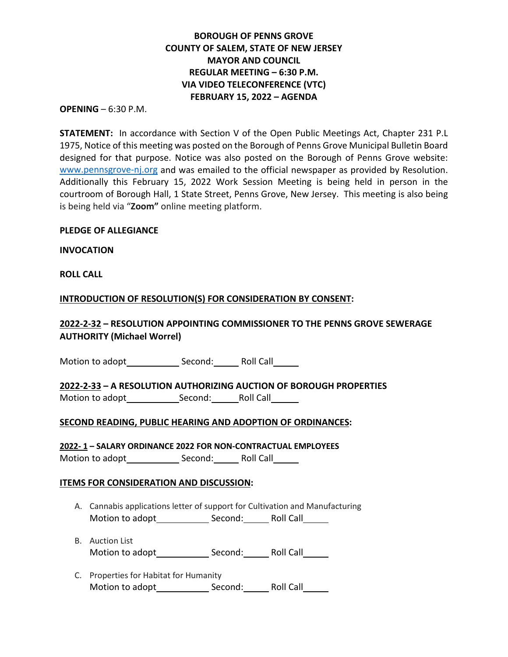# **BOROUGH OF PENNS GROVE COUNTY OF SALEM, STATE OF NEW JERSEY MAYOR AND COUNCIL REGULAR MEETING – 6:30 P.M. VIA VIDEO TELECONFERENCE (VTC) FEBRUARY 15, 2022 – AGENDA**

#### **OPENING** – 6:30 P.M.

**STATEMENT:** In accordance with Section V of the Open Public Meetings Act, Chapter 231 P.L 1975, Notice of this meeting was posted on the Borough of Penns Grove Municipal Bulletin Board designed for that purpose. Notice was also posted on the Borough of Penns Grove website: [www.pennsgrove-nj.org](about:blank) and was emailed to the official newspaper as provided by Resolution. Additionally this February 15, 2022 Work Session Meeting is being held in person in the courtroom of Borough Hall, 1 State Street, Penns Grove, New Jersey. This meeting is also being is being held via "**Zoom"** online meeting platform.

### **PLEDGE OF ALLEGIANCE**

**INVOCATION**

**ROLL CALL**

### **INTRODUCTION OF RESOLUTION(S) FOR CONSIDERATION BY CONSENT:**

# **2022-2-32 – RESOLUTION APPOINTING COMMISSIONER TO THE PENNS GROVE SEWERAGE AUTHORITY (Michael Worrel)**

Motion to adopt Second: Roll Call

**2022-2-33 – A RESOLUTION AUTHORIZING AUCTION OF BOROUGH PROPERTIES** Motion to adopt Second: Roll Call

## **SECOND READING, PUBLIC HEARING AND ADOPTION OF ORDINANCES:**

**2022- 1 – SALARY ORDINANCE 2022 FOR NON-CONTRACTUAL EMPLOYEES** Motion to adopt Second: Roll Call

### **ITEMS FOR CONSIDERATION AND DISCUSSION:**

- A. Cannabis applications letter of support for Cultivation and Manufacturing Motion to adopt Second: Roll Call
- B. Auction List Motion to adopt Second: Roll Call
- C. Properties for Habitat for Humanity Motion to adopt Second: Roll Call